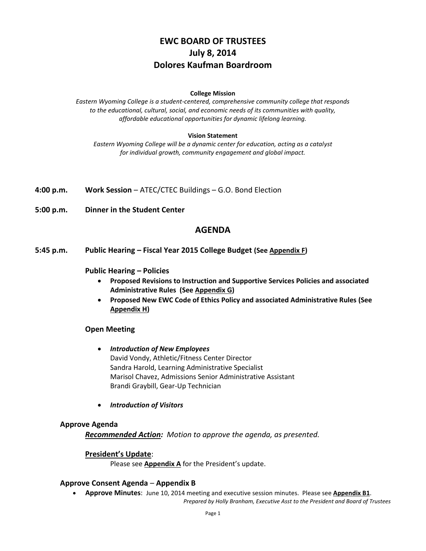# **EWC BOARD OF TRUSTEES July 8, 2014 Dolores Kaufman Boardroom**

#### **College Mission**

*Eastern Wyoming College is a student-centered, comprehensive community college that responds to the educational, cultural, social, and economic needs of its communities with quality, affordable educational opportunities for dynamic lifelong learning.*

#### **Vision Statement**

*Eastern Wyoming College will be a dynamic center for education, acting as a catalyst for individual growth, community engagement and global impact.*

**4:00 p.m. Work Session** – ATEC/CTEC Buildings – G.O. Bond Election

**5:00 p.m. Dinner in the Student Center**

### **AGENDA**

**5:45 p.m. Public Hearing – Fiscal Year 2015 College Budget (See Appendix F)**

#### **Public Hearing – Policies**

- **Proposed Revisions to Instruction and Supportive Services Policies and associated Administrative Rules (See Appendix G)**
- **Proposed New EWC Code of Ethics Policy and associated Administrative Rules (See Appendix H)**

### **Open Meeting**

- *Introduction of New Employees* David Vondy, Athletic/Fitness Center Director Sandra Harold, Learning Administrative Specialist Marisol Chavez, Admissions Senior Administrative Assistant Brandi Graybill, Gear-Up Technician
- *Introduction of Visitors*

#### **Approve Agenda**

*Recommended Action: Motion to approve the agenda, as presented.*

### **President's Update**:

Please see **Appendix A** for the President's update.

#### **Approve Consent Agenda** – **Appendix B**

**Approve Minutes**: June 10, 2014 meeting and executive session minutes. Please see **Appendix B1**.

*Prepared by Holly Branham, Executive Asst to the President and Board of Trustees*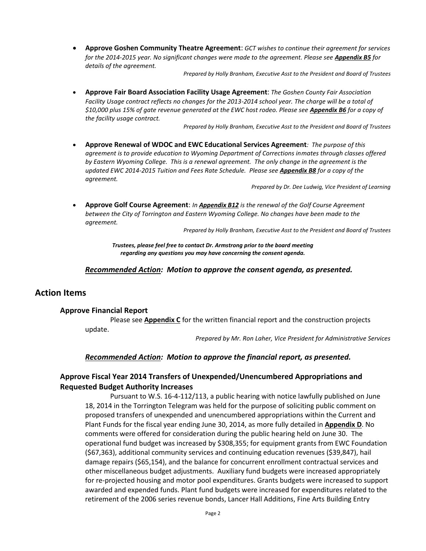**Approve Goshen Community Theatre Agreement**: *GCT wishes to continue their agreement for services for the 2014-2015 year. No significant changes were made to the agreement. Please see Appendix B5 for details of the agreement.*

*Prepared by Holly Branham, Executive Asst to the President and Board of Trustees*

 **Approve Fair Board Association Facility Usage Agreement**: *The Goshen County Fair Association Facility Usage contract reflects no changes for the 2013-2014 school year. The charge will be a total of \$10,000 plus 15% of gate revenue generated at the EWC host rodeo. Please see Appendix B6 for a copy of the facility usage contract.*

*Prepared by Holly Branham, Executive Asst to the President and Board of Trustees*

 **Approve Renewal of WDOC and EWC Educational Services Agreement***: The purpose of this agreement is to provide education to Wyoming Department of Corrections inmates through classes offered by Eastern Wyoming College. This is a renewal agreement. The only change in the agreement is the updated EWC 2014-2015 Tuition and Fees Rate Schedule. Please see Appendix B8 for a copy of the agreement.*

*Prepared by Dr. Dee Ludwig, Vice President of Learning*

 **Approve Golf Course Agreement**: *In Appendix B12 is the renewal of the Golf Course Agreement between the City of Torrington and Eastern Wyoming College. No changes have been made to the agreement.*

*Prepared by Holly Branham, Executive Asst to the President and Board of Trustees*

*Trustees, please feel free to contact Dr. Armstrong prior to the board meeting regarding any questions you may have concerning the consent agenda.*

#### *Recommended Action: Motion to approve the consent agenda, as presented.*

### **Action Items**

#### **Approve Financial Report**

Please see **Appendix C** for the written financial report and the construction projects update.

*Prepared by Mr. Ron Laher, Vice President for Administrative Services*

#### *Recommended Action: Motion to approve the financial report, as presented.*

### **Approve Fiscal Year 2014 Transfers of Unexpended/Unencumbered Appropriations and Requested Budget Authority Increases**

Pursuant to W.S. 16-4-112/113, a public hearing with notice lawfully published on June 18, 2014 in the Torrington Telegram was held for the purpose of soliciting public comment on proposed transfers of unexpended and unencumbered appropriations within the Current and Plant Funds for the fiscal year ending June 30, 2014, as more fully detailed in **Appendix D**. No comments were offered for consideration during the public hearing held on June 30. The operational fund budget was increased by \$308,355; for equipment grants from EWC Foundation (\$67,363), additional community services and continuing education revenues (\$39,847), hail damage repairs (\$65,154), and the balance for concurrent enrollment contractual services and other miscellaneous budget adjustments. Auxiliary fund budgets were increased appropriately for re-projected housing and motor pool expenditures. Grants budgets were increased to support awarded and expended funds. Plant fund budgets were increased for expenditures related to the retirement of the 2006 series revenue bonds, Lancer Hall Additions, Fine Arts Building Entry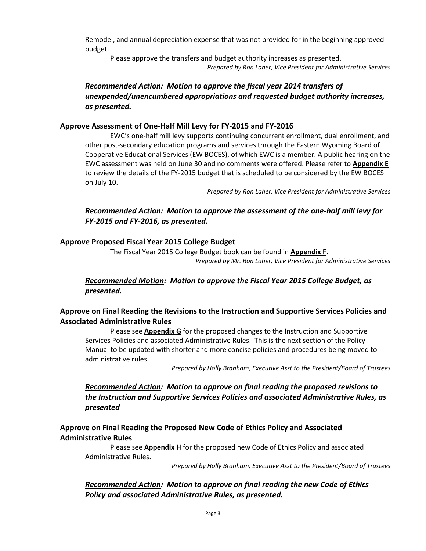Remodel, and annual depreciation expense that was not provided for in the beginning approved budget.

Please approve the transfers and budget authority increases as presented. *Prepared by Ron Laher, Vice President for Administrative Services*

# *Recommended Action: Motion to approve the fiscal year 2014 transfers of unexpended/unencumbered appropriations and requested budget authority increases, as presented.*

### **Approve Assessment of One-Half Mill Levy for FY-2015 and FY-2016**

EWC's one-half mill levy supports continuing concurrent enrollment, dual enrollment, and other post-secondary education programs and services through the Eastern Wyoming Board of Cooperative Educational Services (EW BOCES), of which EWC is a member. A public hearing on the EWC assessment was held on June 30 and no comments were offered. Please refer to **Appendix E** to review the details of the FY-2015 budget that is scheduled to be considered by the EW BOCES on July 10.

*Prepared by Ron Laher, Vice President for Administrative Services*

## *Recommended Action: Motion to approve the assessment of the one-half mill levy for FY-2015 and FY-2016, as presented.*

### **Approve Proposed Fiscal Year 2015 College Budget**

The Fiscal Year 2015 College Budget book can be found in **Appendix F**. *Prepared by Mr. Ron Laher, Vice President for Administrative Services*

# *Recommended Motion: Motion to approve the Fiscal Year 2015 College Budget, as presented.*

# **Approve on Final Reading the Revisions to the Instruction and Supportive Services Policies and Associated Administrative Rules**

Please see **Appendix G** for the proposed changes to the Instruction and Supportive Services Policies and associated Administrative Rules. This is the next section of the Policy Manual to be updated with shorter and more concise policies and procedures being moved to administrative rules.

*Prepared by Holly Branham, Executive Asst to the President/Board of Trustees*

# *Recommended Action: Motion to approve on final reading the proposed revisions to the Instruction and Supportive Services Policies and associated Administrative Rules, as presented*

### **Approve on Final Reading the Proposed New Code of Ethics Policy and Associated Administrative Rules**

Please see **Appendix H** for the proposed new Code of Ethics Policy and associated Administrative Rules.

*Prepared by Holly Branham, Executive Asst to the President/Board of Trustees*

# *Recommended Action: Motion to approve on final reading the new Code of Ethics Policy and associated Administrative Rules, as presented.*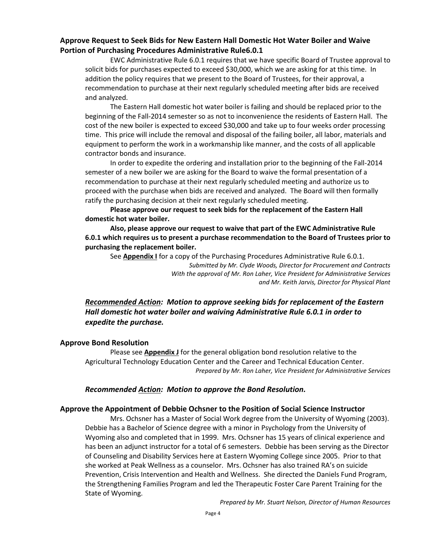### **Approve Request to Seek Bids for New Eastern Hall Domestic Hot Water Boiler and Waive Portion of Purchasing Procedures Administrative Rule6.0.1**

EWC Administrative Rule 6.0.1 requires that we have specific Board of Trustee approval to solicit bids for purchases expected to exceed \$30,000, which we are asking for at this time. In addition the policy requires that we present to the Board of Trustees, for their approval, a recommendation to purchase at their next regularly scheduled meeting after bids are received and analyzed.

The Eastern Hall domestic hot water boiler is failing and should be replaced prior to the beginning of the Fall-2014 semester so as not to inconvenience the residents of Eastern Hall. The cost of the new boiler is expected to exceed \$30,000 and take up to four weeks order processing time. This price will include the removal and disposal of the failing boiler, all labor, materials and equipment to perform the work in a workmanship like manner, and the costs of all applicable contractor bonds and insurance.

In order to expedite the ordering and installation prior to the beginning of the Fall-2014 semester of a new boiler we are asking for the Board to waive the formal presentation of a recommendation to purchase at their next regularly scheduled meeting and authorize us to proceed with the purchase when bids are received and analyzed. The Board will then formally ratify the purchasing decision at their next regularly scheduled meeting.

**Please approve our request to seek bids for the replacement of the Eastern Hall domestic hot water boiler.** 

**Also, please approve our request to waive that part of the EWC Administrative Rule 6.0.1 which requires us to present a purchase recommendation to the Board of Trustees prior to purchasing the replacement boiler.**

See **Appendix I** for a copy of the Purchasing Procedures Administrative Rule 6.0.1. *Submitted by Mr. Clyde Woods, Director for Procurement and Contracts*

*With the approval of Mr. Ron Laher, Vice President for Administrative Services and Mr. Keith Jarvis, Director for Physical Plant*

# *Recommended Action: Motion to approve seeking bids for replacement of the Eastern Hall domestic hot water boiler and waiving Administrative Rule 6.0.1 in order to expedite the purchase.*

### **Approve Bond Resolution**

Please see **Appendix J** for the general obligation bond resolution relative to the Agricultural Technology Education Center and the Career and Technical Education Center. *Prepared by Mr. Ron Laher, Vice President for Administrative Services*

### *Recommended Action: Motion to approve the Bond Resolution.*

### **Approve the Appointment of Debbie Ochsner to the Position of Social Science Instructor**

Mrs. Ochsner has a Master of Social Work degree from the University of Wyoming (2003). Debbie has a Bachelor of Science degree with a minor in Psychology from the University of Wyoming also and completed that in 1999. Mrs. Ochsner has 15 years of clinical experience and has been an adjunct instructor for a total of 6 semesters. Debbie has been serving as the Director of Counseling and Disability Services here at Eastern Wyoming College since 2005. Prior to that she worked at Peak Wellness as a counselor. Mrs. Ochsner has also trained RA's on suicide Prevention, Crisis Intervention and Health and Wellness. She directed the Daniels Fund Program, the Strengthening Families Program and led the Therapeutic Foster Care Parent Training for the State of Wyoming.

*Prepared by Mr. Stuart Nelson, Director of Human Resources*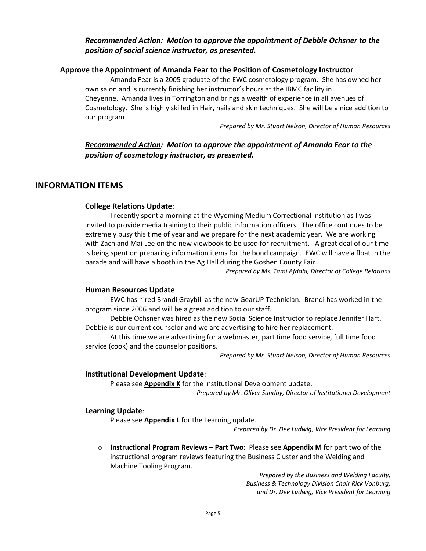## *Recommended Action: Motion to approve the appointment of Debbie Ochsner to the position of social science instructor, as presented.*

### **Approve the Appointment of Amanda Fear to the Position of Cosmetology Instructor**

Amanda Fear is a 2005 graduate of the EWC cosmetology program. She has owned her own salon and is currently finishing her instructor's hours at the IBMC facility in Cheyenne. Amanda lives in Torrington and brings a wealth of experience in all avenues of Cosmetology. She is highly skilled in Hair, nails and skin techniques. She will be a nice addition to our program

*Prepared by Mr. Stuart Nelson, Director of Human Resources*

# *Recommended Action: Motion to approve the appointment of Amanda Fear to the position of cosmetology instructor, as presented.*

### **INFORMATION ITEMS**

### **College Relations Update**:

I recently spent a morning at the Wyoming Medium Correctional Institution as I was invited to provide media training to their public information officers. The office continues to be extremely busy this time of year and we prepare for the next academic year. We are working with Zach and Mai Lee on the new viewbook to be used for recruitment. A great deal of our time is being spent on preparing information items for the bond campaign. EWC will have a float in the parade and will have a booth in the Ag Hall during the Goshen County Fair.

*Prepared by Ms. Tami Afdahl, Director of College Relations*

### **Human Resources Update**:

EWC has hired Brandi Graybill as the new GearUP Technician. Brandi has worked in the program since 2006 and will be a great addition to our staff.

Debbie Ochsner was hired as the new Social Science Instructor to replace Jennifer Hart. Debbie is our current counselor and we are advertising to hire her replacement.

At this time we are advertising for a webmaster, part time food service, full time food service (cook) and the counselor positions.

*Prepared by Mr. Stuart Nelson, Director of Human Resources*

### **Institutional Development Update**:

Please see **Appendix K** for the Institutional Development update.

*Prepared by Mr. Oliver Sundby, Director of Institutional Development*

#### **Learning Update**:

Please see **Appendix L** for the Learning update.

*Prepared by Dr. Dee Ludwig, Vice President for Learning*

o **Instructional Program Reviews – Part Two**: Please see **Appendix M** for part two of the instructional program reviews featuring the Business Cluster and the Welding and Machine Tooling Program.

> *Prepared by the Business and Welding Faculty, Business & Technology Division Chair Rick Vonburg, and Dr. Dee Ludwig, Vice President for Learning*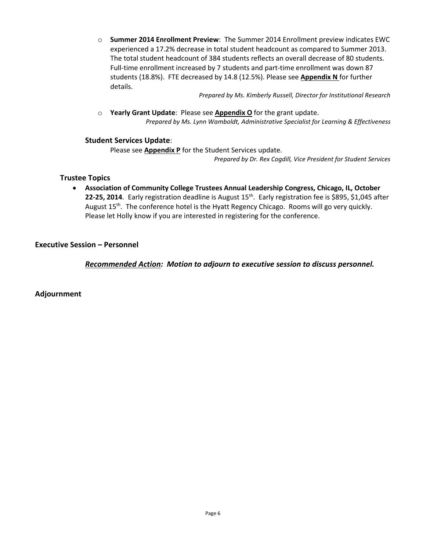o **Summer 2014 Enrollment Preview**: The Summer 2014 Enrollment preview indicates EWC experienced a 17.2% decrease in total student headcount as compared to Summer 2013. The total student headcount of 384 students reflects an overall decrease of 80 students. Full-time enrollment increased by 7 students and part-time enrollment was down 87 students (18.8%). FTE decreased by 14.8 (12.5%). Please see **Appendix N** for further details.

*Prepared by Ms. Kimberly Russell, Director for Institutional Research*

o **Yearly Grant Update**: Please see **Appendix O** for the grant update. *Prepared by Ms. Lynn Wamboldt, Administrative Specialist for Learning & Effectiveness*

### **Student Services Update**:

Please see **Appendix P** for the Student Services update.

*Prepared by Dr. Rex Cogdill, Vice President for Student Services*

### **Trustee Topics**

 **Association of Community College Trustees Annual Leadership Congress, Chicago, IL, October**  22-25, 2014. Early registration deadline is August 15<sup>th</sup>. Early registration fee is \$895, \$1,045 after August 15<sup>th</sup>. The conference hotel is the Hyatt Regency Chicago. Rooms will go very quickly. Please let Holly know if you are interested in registering for the conference.

### **Executive Session – Personnel**

*Recommended Action: Motion to adjourn to executive session to discuss personnel.*

**Adjournment**